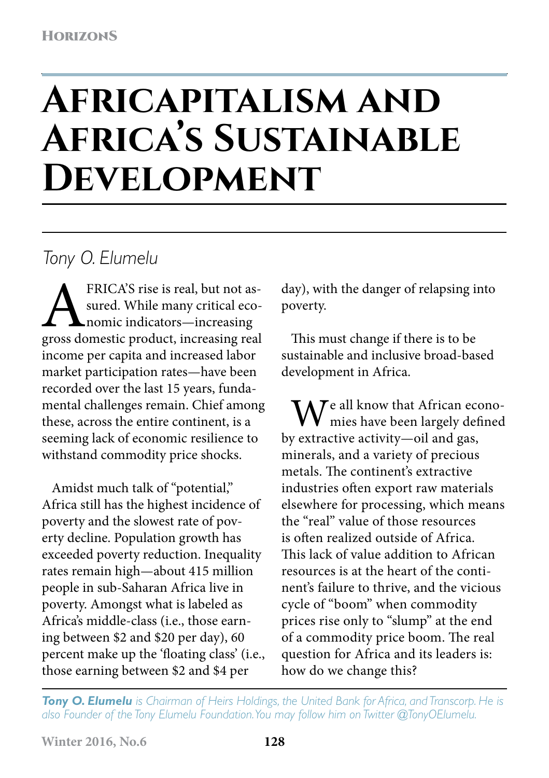# **Africapitalism and Africa's Sustainable Development**

## *Tony O. Elumelu*

FRICA'S rise is real, but not as-<br>sured. While many critical eco-<br>promic indicators—increasing<br>gross domestic product, increasing real sured. While many critical economic indicators—increasing income per capita and increased labor market participation rates—have been recorded over the last 15 years, fundamental challenges remain. Chief among these, across the entire continent, is a seeming lack of economic resilience to withstand commodity price shocks.

Amidst much talk of "potential," Africa still has the highest incidence of poverty and the slowest rate of poverty decline. Population growth has exceeded poverty reduction. Inequality rates remain high—about 415 million people in sub-Saharan Africa live in poverty. Amongst what is labeled as Africa's middle-class (i.e., those earning between \$2 and \$20 per day), 60 percent make up the 'floating class' (i.e., those earning between \$2 and \$4 per

day), with the danger of relapsing into poverty.

This must change if there is to be sustainable and inclusive broad-based development in Africa.

 $\mathbf{M}$ <sup>e all know that African econo-</sup> mies have been largely defined by extractive activity—oil and gas, minerals, and a variety of precious metals. The continent's extractive industries often export raw materials elsewhere for processing, which means the "real" value of those resources is often realized outside of Africa. This lack of value addition to African resources is at the heart of the continent's failure to thrive, and the vicious cycle of "boom" when commodity prices rise only to "slump" at the end of a commodity price boom. The real question for Africa and its leaders is: how do we change this?

*Tony O. Elumelu is Chairman of Heirs Holdings, the United Bank for Africa, and Transcorp. He is also Founder of the Tony Elumelu Foundation. You may follow him on Twitter @TonyOElumelu.*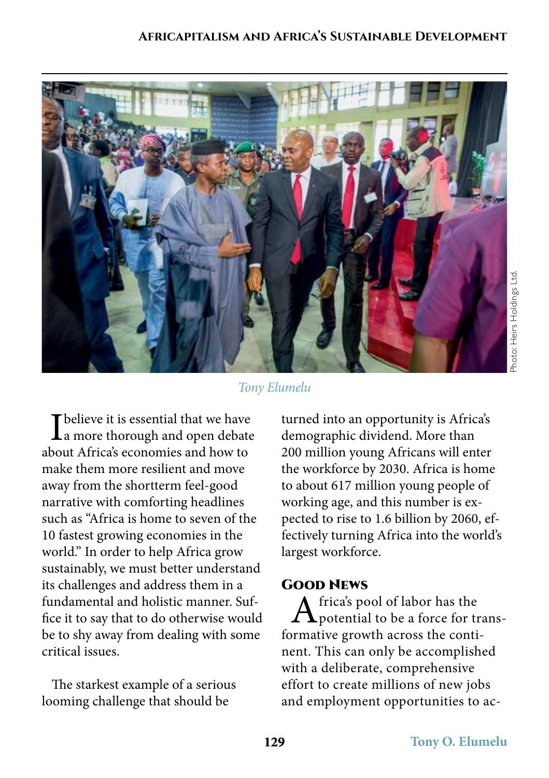#### **Africapitalism and Africa's Sustainable Development**



### *Tony Elumelu*

 $\int_a^b$  believe it is essential that we have<br>a more thorough and open debate about Africa's economies and how to make them more resilient and move away from the shortterm feel-good narrative with comforting headlines such as "Africa is home to seven of the 10 fastest growing economies in the world." In order to help Africa grow sustainably, we must better understand its challenges and address them in a fundamental and holistic manner. Suffice it to say that to do otherwise would be to shy away from dealing with some critical issues.

The starkest example of a serious looming challenge that should be

turned into an opportunity is Africa's demographic dividend. More than 200 million young Africans will enter the workforce by 2030. Africa is home to about 617 million young people of working age, and this number is expected to rise to 1.6 billion by 2060, effectively turning Africa into the world's largest workforce.

#### Good News

 $A$  frica's pool of labor has the potential to be a force for transformative growth across the continent. This can only be accomplished with a deliberate, comprehensive effort to create millions of new jobs and employment opportunities to ac-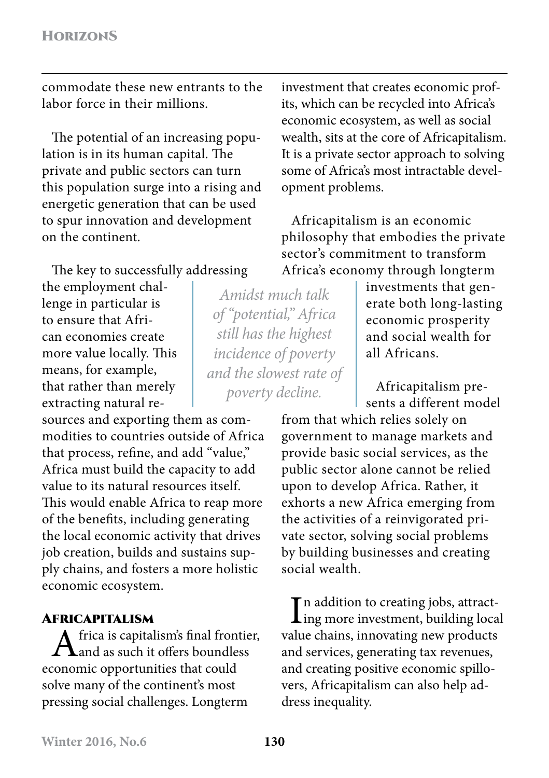commodate these new entrants to the labor force in their millions.

The potential of an increasing population is in its human capital. The private and public sectors can turn this population surge into a rising and energetic generation that can be used to spur innovation and development on the continent.

The key to successfully addressing

the employment challenge in particular is to ensure that African economies create more value locally. This means, for example, that rather than merely extracting natural re-

sources and exporting them as commodities to countries outside of Africa that process, refine, and add "value," Africa must build the capacity to add value to its natural resources itself. This would enable Africa to reap more of the benefits, including generating the local economic activity that drives job creation, builds and sustains supply chains, and fosters a more holistic economic ecosystem.

#### Africapitalism

frica is capitalism's final frontier, and as such it offers boundless economic opportunities that could solve many of the continent's most pressing social challenges. Longterm

investment that creates economic profits, which can be recycled into Africa's economic ecosystem, as well as social wealth, sits at the core of Africapitalism. It is a private sector approach to solving some of Africa's most intractable development problems.

Africapitalism is an economic philosophy that embodies the private sector's commitment to transform Africa's economy through longterm

*Amidst much talk of "potential," Africa still has the highest incidence of poverty and the slowest rate of poverty decline.*

investments that generate both long-lasting economic prosperity and social wealth for all Africans.

Africapitalism presents a different model

from that which relies solely on government to manage markets and provide basic social services, as the public sector alone cannot be relied upon to develop Africa. Rather, it exhorts a new Africa emerging from the activities of a reinvigorated private sector, solving social problems by building businesses and creating social wealth.

In addition to creating jobs, attract-<br>ling more investment, building local **T** n addition to creating jobs, attractvalue chains, innovating new products and services, generating tax revenues, and creating positive economic spillovers, Africapitalism can also help address inequality.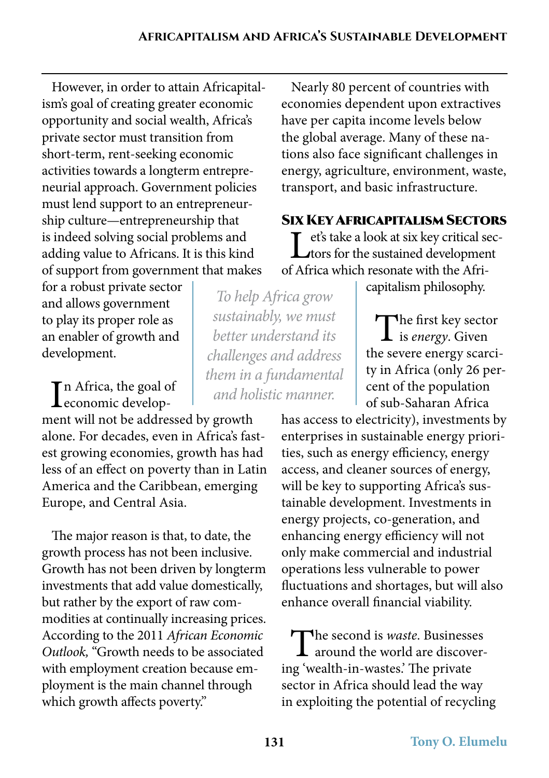However, in order to attain Africapitalism's goal of creating greater economic opportunity and social wealth, Africa's private sector must transition from short-term, rent-seeking economic activities towards a longterm entrepreneurial approach. Government policies must lend support to an entrepreneurship culture—entrepreneurship that is indeed solving social problems and adding value to Africans. It is this kind of support from government that makes

for a robust private sector and allows government to play its proper role as an enabler of growth and development.

In Africa, the goal of<br>
economic develop- $\blacktriangle$ economic develop-

ment will not be addressed by growth alone. For decades, even in Africa's fastest growing economies, growth has had less of an effect on poverty than in Latin America and the Caribbean, emerging Europe, and Central Asia.

The major reason is that, to date, the growth process has not been inclusive. Growth has not been driven by longterm investments that add value domestically, but rather by the export of raw commodities at continually increasing prices. According to the 2011 *African Economic Outlook,* "Growth needs to be associated with employment creation because employment is the main channel through which growth affects poverty."

Nearly 80 percent of countries with economies dependent upon extractives have per capita income levels below the global average. Many of these nations also face significant challenges in energy, agriculture, environment, waste, transport, and basic infrastructure.

Six Key Africapitalism Sectors Let's take a look at six key critical sec-<br>tors for the sustained development of Africa which resonate with the Afri-

capitalism philosophy.

The first key sector **L** is *energy*. Given the severe energy scarcity in Africa (only 26 percent of the population of sub-Saharan Africa

has access to electricity), investments by enterprises in sustainable energy priorities, such as energy efficiency, energy access, and cleaner sources of energy, will be key to supporting Africa's sustainable development. Investments in energy projects, co-generation, and enhancing energy efficiency will not only make commercial and industrial operations less vulnerable to power fluctuations and shortages, but will also enhance overall financial viability.

The second is *waste*. Businesses around the world are discovering 'wealth-in-wastes.' The private sector in Africa should lead the way in exploiting the potential of recycling

*To help Africa grow sustainably, we must better understand its challenges and address them in a fundamental and holistic manner.*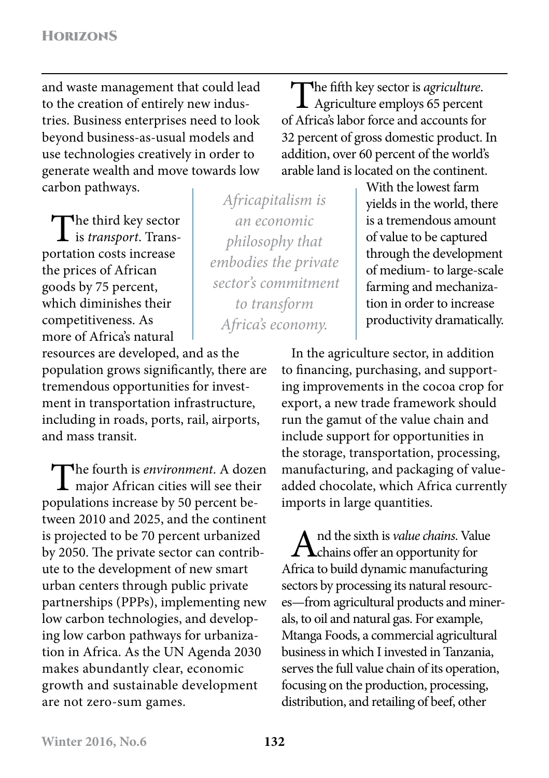and waste management that could lead to the creation of entirely new industries. Business enterprises need to look beyond business-as-usual models and use technologies creatively in order to generate wealth and move towards low carbon pathways.

 $\prod_{i=1}^{n}$  third key sector is *transport*. Transportation costs increase the prices of African goods by 75 percent, which diminishes their competitiveness. As more of Africa's natural

resources are developed, and as the population grows significantly, there are tremendous opportunities for investment in transportation infrastructure, including in roads, ports, rail, airports, and mass transit.

The fourth is *environment*. A dozen<br>major African cities will see their populations increase by 50 percent between 2010 and 2025, and the continent is projected to be 70 percent urbanized by 2050. The private sector can contribute to the development of new smart urban centers through public private partnerships (PPPs), implementing new low carbon technologies, and developing low carbon pathways for urbanization in Africa. As the UN Agenda 2030 makes abundantly clear, economic growth and sustainable development are not zero-sum games.

*Africapitalism is an economic philosophy that embodies the private sector's commitment to transform Africa's economy.*

The fifth key sector is *agriculture*.<br>Agriculture employs 65 percent of Africa's labor force and accounts for 32 percent of gross domestic product. In addition, over 60 percent of the world's arable land is located on the continent.

With the lowest farm yields in the world, there is a tremendous amount of value to be captured through the development of medium- to large-scale farming and mechanization in order to increase productivity dramatically.

In the agriculture sector, in addition to financing, purchasing, and supporting improvements in the cocoa crop for export, a new trade framework should run the gamut of the value chain and include support for opportunities in the storage, transportation, processing, manufacturing, and packaging of valueadded chocolate, which Africa currently imports in large quantities.

And the sixth is *value chains*. Value  $\Lambda$ chains offer an opportunity for Africa to build dynamic manufacturing sectors by processing its natural resources—from agricultural products and minerals, to oil and natural gas. For example, Mtanga Foods, a commercial agricultural business in which I invested in Tanzania, serves the full value chain of its operation, focusing on the production, processing, distribution, and retailing of beef, other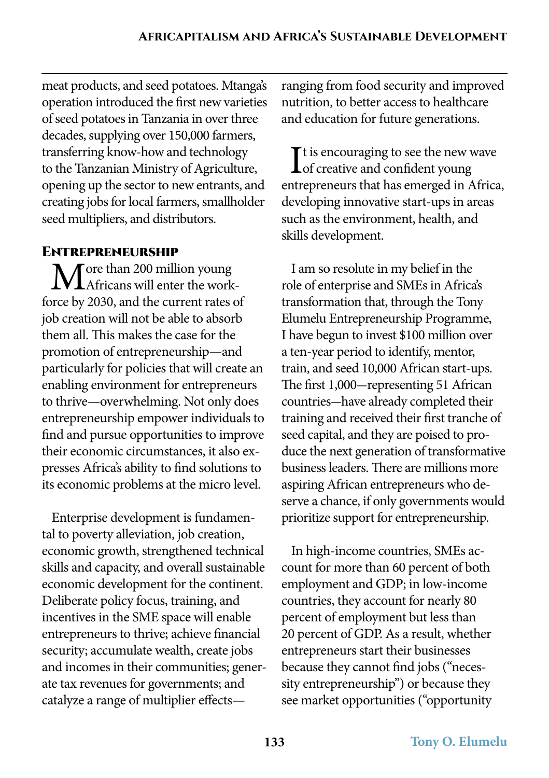meat products, and seed potatoes. Mtanga's operation introduced the first new varieties of seed potatoes in Tanzania in over three decades, supplying over 150,000 farmers, transferring know-how and technology to the Tanzanian Ministry of Agriculture, opening up the sector to new entrants, and creating jobs for local farmers, smallholder seed multipliers, and distributors.

#### Entrepreneurship

**T** ore than 200 million young **V**  $\blacksquare$  Africans will enter the workforce by 2030, and the current rates of job creation will not be able to absorb them all. This makes the case for the promotion of entrepreneurship—and particularly for policies that will create an enabling environment for entrepreneurs to thrive—overwhelming. Not only does entrepreneurship empower individuals to find and pursue opportunities to improve their economic circumstances, it also expresses Africa's ability to find solutions to its economic problems at the micro level.

Enterprise development is fundamental to poverty alleviation, job creation, economic growth, strengthened technical skills and capacity, and overall sustainable economic development for the continent. Deliberate policy focus, training, and incentives in the SME space will enable entrepreneurs to thrive; achieve financial security; accumulate wealth, create jobs and incomes in their communities; generate tax revenues for governments; and catalyze a range of multiplier effectsranging from food security and improved nutrition, to better access to healthcare and education for future generations.

 $\prod$ t is encouraging to see the new v<br>
of creative and confident young  $\mathbf{T}$ t is encouraging to see the new wave entrepreneurs that has emerged in Africa, developing innovative start-ups in areas such as the environment, health, and skills development.

I am so resolute in my belief in the role of enterprise and SMEs in Africa's transformation that, through the Tony Elumelu Entrepreneurship Programme, I have begun to invest \$100 million over a ten-year period to identify, mentor, train, and seed 10,000 African start-ups. The first 1,000-representing 51 African countries-have already completed their training and received their first tranche of seed capital, and they are poised to produce the next generation of transformative business leaders. There are millions more aspiring African entrepreneurs who deserve a chance, if only governments would prioritize support for entrepreneurship.

In high-income countries, SMEs account for more than 60 percent of both employment and GDP; in low-income countries, they account for nearly 80 percent of employment but less than 20 percent of GDP. As a result, whether entrepreneurs start their businesses because they cannot find jobs ("necessity entrepreneurship") or because they see market opportunities ("opportunity